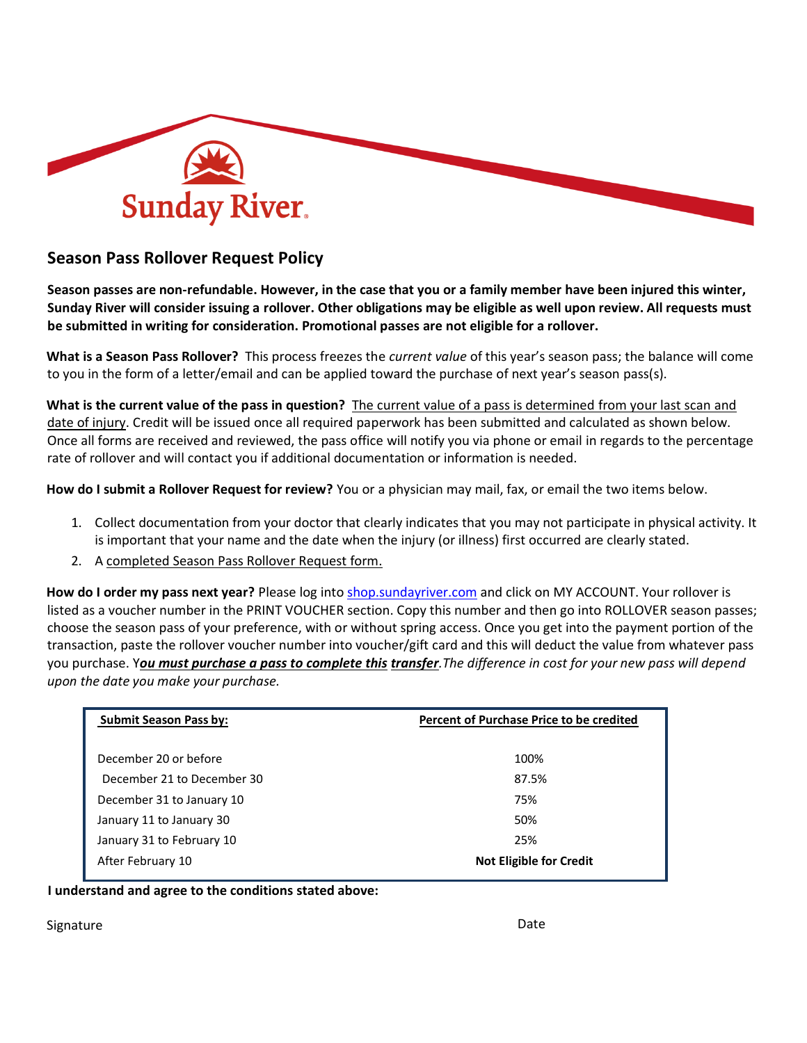

## **Season Pass Rollover Request Policy**

**Season passes are non-refundable. However, in the case that you or a family member have been injured this winter, Sunday River will consider issuing a rollover. Other obligations may be eligible as well upon review. All requests must be submitted in writing for consideration. Promotional passes are not eligible for a rollover.** 

**What is a Season Pass Rollover?** This process freezes the *current value* of this year's season pass; the balance will come to you in the form of a letter/email and can be applied toward the purchase of next year's season pass(s).

**What is the current value of the pass in question?** The current value of a pass is determined from your last scan and date of injury. Credit will be issued once all required paperwork has been submitted and calculated as shown below. Once all forms are received and reviewed, the pass office will notify you via phone or email in regards to the percentage rate of rollover and will contact you if additional documentation or information is needed.

**How do I submit a Rollover Request for review?** You or a physician may mail, fax, or email the two items below.

- 1. Collect documentation from your doctor that clearly indicates that you may not participate in physical activity. It is important that your name and the date when the injury (or illness) first occurred are clearly stated.
- 2. A completed Season Pass Rollover Request form.

How do I order my pass next year? Please log into **shop.sundayriver.com** and click on MY ACCOUNT. Your rollover is listed as a voucher number in the PRINT VOUCHER section. Copy this number and then go into ROLLOVER season passes; choose the season pass of your preference, with or without spring access. Once you get into the payment portion of the transaction, paste the rollover voucher number into voucher/gift card and this will deduct the value from whatever pass you purchase. Y*ou must purchase a pass to complete this transfer.The difference in cost for your new pass will depend upon the date you make your purchase.*

| <b>Submit Season Pass by:</b> | Percent of Purchase Price to be credited |  |  |
|-------------------------------|------------------------------------------|--|--|
| December 20 or before         | 100%                                     |  |  |
| December 21 to December 30    | 87.5%                                    |  |  |
| December 31 to January 10     | 75%                                      |  |  |
| January 11 to January 30      | 50%                                      |  |  |
| January 31 to February 10     | 25%                                      |  |  |
| After February 10             | <b>Not Eligible for Credit</b>           |  |  |

**I understand and agree to the conditions stated above:**